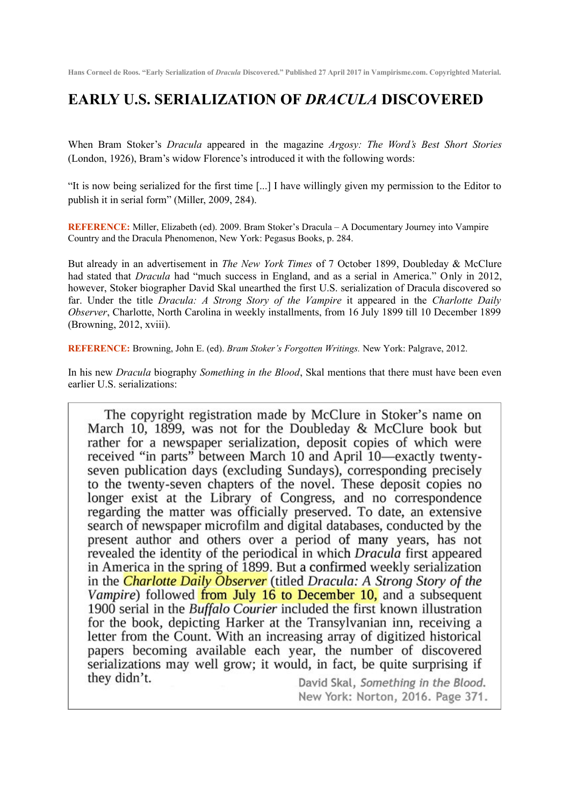**Hans Corneel de Roos. "Early Serialization of** *Dracula* **Discovered." Published 27 April 2017 in Vampirisme.com. Copyrighted Material.**

## **EARLY U.S. SERIALIZATION OF** *DRACULA* **DISCOVERED**

When Bram Stoker's *Dracula* appeared in the magazine *Argosy: The Word's Best Short Stories* (London, 1926), Bram's widow Florence's introduced it with the following words:

"It is now being serialized for the first time [...] I have willingly given my permission to the Editor to publish it in serial form" (Miller, 2009, 284).

**REFERENCE:** Miller, Elizabeth (ed). 2009. Bram Stoker's Dracula – A Documentary Journey into Vampire Country and the Dracula Phenomenon, New York: Pegasus Books, p. 284.

But already in an advertisement in *The New York Times* of 7 October 1899, Doubleday & McClure had stated that *Dracula* had "much success in England, and as a serial in America." Only in 2012, however, Stoker biographer David Skal unearthed the first U.S. serialization of Dracula discovered so far. Under the title *Dracula: A Strong Story of the Vampire* it appeared in the *Charlotte Daily Observer*, Charlotte, North Carolina in weekly installments, from 16 July 1899 till 10 December 1899 (Browning, 2012, xviii).

**REFERENCE:** Browning, John E. (ed). *Bram Stoker's Forgotten Writings.* New York: Palgrave, 2012.

In his new *Dracula* biography *Something in the Blood*, Skal mentions that there must have been even earlier U.S. serializations:

The copyright registration made by McClure in Stoker's name on March 10, 1899, was not for the Doubleday & McClure book but rather for a newspaper serialization, deposit copies of which were received "in parts" between March 10 and April 10—exactly twentyseven publication days (excluding Sundays), corresponding precisely to the twenty-seven chapters of the novel. These deposit copies no longer exist at the Library of Congress, and no correspondence regarding the matter was officially preserved. To date, an extensive search of newspaper microfilm and digital databases, conducted by the present author and others over a period of many years, has not revealed the identity of the periodical in which Dracula first appeared in America in the spring of 1899. But a confirmed weekly serialization in the **Charlotte Daily Observer** (titled Dracula: A Strong Story of the Vampire) followed from July 16 to December 10, and a subsequent 1900 serial in the Buffalo Courier included the first known illustration for the book, depicting Harker at the Transylvanian inn, receiving a letter from the Count. With an increasing array of digitized historical papers becoming available each year, the number of discovered serializations may well grow; it would, in fact, be quite surprising if they didn't.

David Skal, Something in the Blood. New York: Norton, 2016. Page 371.